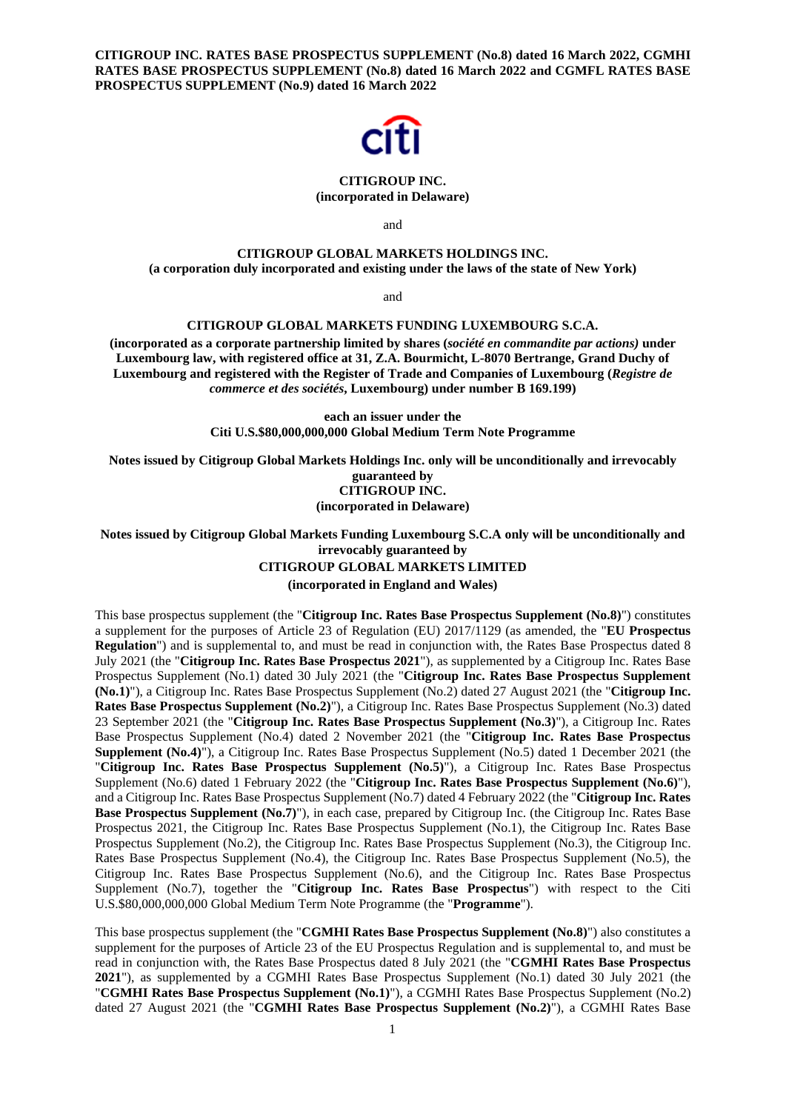**CITIGROUP INC. RATES BASE PROSPECTUS SUPPLEMENT (No.8) dated 16 March 2022, CGMHI RATES BASE PROSPECTUS SUPPLEMENT (No.8) dated 16 March 2022 and CGMFL RATES BASE PROSPECTUS SUPPLEMENT (No.9) dated 16 March 2022**



### **CITIGROUP INC. (incorporated in Delaware)**

and

# **CITIGROUP GLOBAL MARKETS HOLDINGS INC. (a corporation duly incorporated and existing under the laws of the state of New York)**

and

# **CITIGROUP GLOBAL MARKETS FUNDING LUXEMBOURG S.C.A.**

**(incorporated as a corporate partnership limited by shares (***société en commandite par actions)* **under Luxembourg law, with registered office at 31, Z.A. Bourmicht, L-8070 Bertrange, Grand Duchy of Luxembourg and registered with the Register of Trade and Companies of Luxembourg (***Registre de commerce et des sociétés***, Luxembourg) under number B 169.199)** 

> **each an issuer under the Citi U.S.\$80,000,000,000 Global Medium Term Note Programme**

**Notes issued by Citigroup Global Markets Holdings Inc. only will be unconditionally and irrevocably guaranteed by CITIGROUP INC.** 

**(incorporated in Delaware)**

**Notes issued by Citigroup Global Markets Funding Luxembourg S.C.A only will be unconditionally and irrevocably guaranteed by** 

### **CITIGROUP GLOBAL MARKETS LIMITED**

**(incorporated in England and Wales)** 

This base prospectus supplement (the "**Citigroup Inc. Rates Base Prospectus Supplement (No.8)**") constitutes a supplement for the purposes of Article 23 of Regulation (EU) 2017/1129 (as amended, the "**EU Prospectus Regulation**") and is supplemental to, and must be read in conjunction with, the Rates Base Prospectus dated 8 July 2021 (the "**Citigroup Inc. Rates Base Prospectus 2021**"), as supplemented by a Citigroup Inc. Rates Base Prospectus Supplement (No.1) dated 30 July 2021 (the "**Citigroup Inc. Rates Base Prospectus Supplement (No.1)**"), a Citigroup Inc. Rates Base Prospectus Supplement (No.2) dated 27 August 2021 (the "**Citigroup Inc. Rates Base Prospectus Supplement (No.2)**"), a Citigroup Inc. Rates Base Prospectus Supplement (No.3) dated 23 September 2021 (the "**Citigroup Inc. Rates Base Prospectus Supplement (No.3)**"), a Citigroup Inc. Rates Base Prospectus Supplement (No.4) dated 2 November 2021 (the "**Citigroup Inc. Rates Base Prospectus Supplement (No.4)**"), a Citigroup Inc. Rates Base Prospectus Supplement (No.5) dated 1 December 2021 (the "**Citigroup Inc. Rates Base Prospectus Supplement (No.5)**"), a Citigroup Inc. Rates Base Prospectus Supplement (No.6) dated 1 February 2022 (the "**Citigroup Inc. Rates Base Prospectus Supplement (No.6)**"), and a Citigroup Inc. Rates Base Prospectus Supplement (No.7) dated 4 February 2022 (the "**Citigroup Inc. Rates Base Prospectus Supplement (No.7)**"), in each case, prepared by Citigroup Inc. (the Citigroup Inc. Rates Base Prospectus 2021, the Citigroup Inc. Rates Base Prospectus Supplement (No.1), the Citigroup Inc. Rates Base Prospectus Supplement (No.2), the Citigroup Inc. Rates Base Prospectus Supplement (No.3), the Citigroup Inc. Rates Base Prospectus Supplement (No.4), the Citigroup Inc. Rates Base Prospectus Supplement (No.5), the Citigroup Inc. Rates Base Prospectus Supplement (No.6), and the Citigroup Inc. Rates Base Prospectus Supplement (No.7), together the "**Citigroup Inc. Rates Base Prospectus**") with respect to the Citi U.S.\$80,000,000,000 Global Medium Term Note Programme (the "**Programme**").

This base prospectus supplement (the "**CGMHI Rates Base Prospectus Supplement (No.8)**") also constitutes a supplement for the purposes of Article 23 of the EU Prospectus Regulation and is supplemental to, and must be read in conjunction with, the Rates Base Prospectus dated 8 July 2021 (the "**CGMHI Rates Base Prospectus 2021**"), as supplemented by a CGMHI Rates Base Prospectus Supplement (No.1) dated 30 July 2021 (the "**CGMHI Rates Base Prospectus Supplement (No.1)**"), a CGMHI Rates Base Prospectus Supplement (No.2) dated 27 August 2021 (the "**CGMHI Rates Base Prospectus Supplement (No.2)**"), a CGMHI Rates Base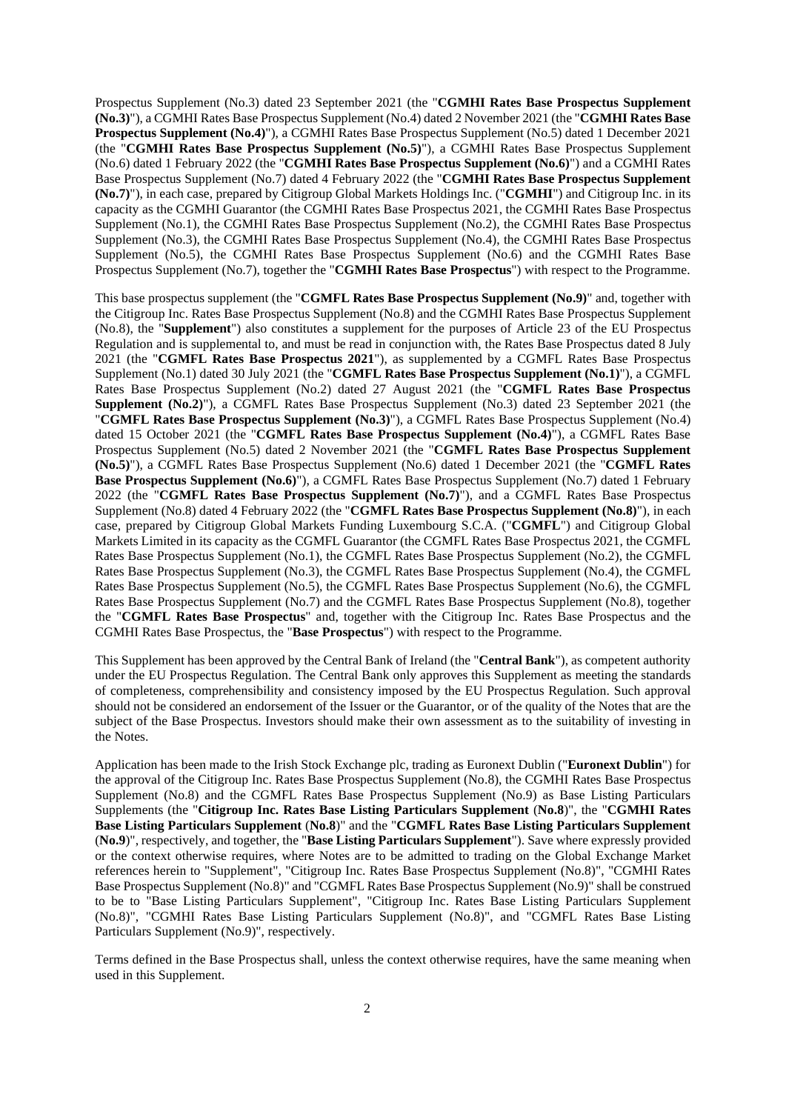Prospectus Supplement (No.3) dated 23 September 2021 (the "**CGMHI Rates Base Prospectus Supplement (No.3)**"), a CGMHI Rates Base Prospectus Supplement (No.4) dated 2 November 2021 (the "**CGMHI Rates Base Prospectus Supplement (No.4)**"), a CGMHI Rates Base Prospectus Supplement (No.5) dated 1 December 2021 (the "**CGMHI Rates Base Prospectus Supplement (No.5)**"), a CGMHI Rates Base Prospectus Supplement (No.6) dated 1 February 2022 (the "**CGMHI Rates Base Prospectus Supplement (No.6)**") and a CGMHI Rates Base Prospectus Supplement (No.7) dated 4 February 2022 (the "**CGMHI Rates Base Prospectus Supplement (No.7)**"), in each case, prepared by Citigroup Global Markets Holdings Inc. ("**CGMHI**") and Citigroup Inc. in its capacity as the CGMHI Guarantor (the CGMHI Rates Base Prospectus 2021, the CGMHI Rates Base Prospectus Supplement (No.1), the CGMHI Rates Base Prospectus Supplement (No.2), the CGMHI Rates Base Prospectus Supplement (No.3), the CGMHI Rates Base Prospectus Supplement (No.4), the CGMHI Rates Base Prospectus Supplement (No.5), the CGMHI Rates Base Prospectus Supplement (No.6) and the CGMHI Rates Base Prospectus Supplement (No.7), together the "**CGMHI Rates Base Prospectus**") with respect to the Programme.

This base prospectus supplement (the "**CGMFL Rates Base Prospectus Supplement (No.9)**" and, together with the Citigroup Inc. Rates Base Prospectus Supplement (No.8) and the CGMHI Rates Base Prospectus Supplement (No.8), the "**Supplement**") also constitutes a supplement for the purposes of Article 23 of the EU Prospectus Regulation and is supplemental to, and must be read in conjunction with, the Rates Base Prospectus dated 8 July 2021 (the "**CGMFL Rates Base Prospectus 2021**"), as supplemented by a CGMFL Rates Base Prospectus Supplement (No.1) dated 30 July 2021 (the "**CGMFL Rates Base Prospectus Supplement (No.1)**"), a CGMFL Rates Base Prospectus Supplement (No.2) dated 27 August 2021 (the "**CGMFL Rates Base Prospectus Supplement (No.2)**"), a CGMFL Rates Base Prospectus Supplement (No.3) dated 23 September 2021 (the "**CGMFL Rates Base Prospectus Supplement (No.3)**"), a CGMFL Rates Base Prospectus Supplement (No.4) dated 15 October 2021 (the "**CGMFL Rates Base Prospectus Supplement (No.4)**"), a CGMFL Rates Base Prospectus Supplement (No.5) dated 2 November 2021 (the "**CGMFL Rates Base Prospectus Supplement (No.5)**"), a CGMFL Rates Base Prospectus Supplement (No.6) dated 1 December 2021 (the "**CGMFL Rates Base Prospectus Supplement (No.6)**"), a CGMFL Rates Base Prospectus Supplement (No.7) dated 1 February 2022 (the "**CGMFL Rates Base Prospectus Supplement (No.7)**"), and a CGMFL Rates Base Prospectus Supplement (No.8) dated 4 February 2022 (the "**CGMFL Rates Base Prospectus Supplement (No.8)**"), in each case, prepared by Citigroup Global Markets Funding Luxembourg S.C.A. ("**CGMFL**") and Citigroup Global Markets Limited in its capacity as the CGMFL Guarantor (the CGMFL Rates Base Prospectus 2021, the CGMFL Rates Base Prospectus Supplement (No.1), the CGMFL Rates Base Prospectus Supplement (No.2), the CGMFL Rates Base Prospectus Supplement (No.3), the CGMFL Rates Base Prospectus Supplement (No.4), the CGMFL Rates Base Prospectus Supplement (No.5), the CGMFL Rates Base Prospectus Supplement (No.6), the CGMFL Rates Base Prospectus Supplement (No.7) and the CGMFL Rates Base Prospectus Supplement (No.8), together the "**CGMFL Rates Base Prospectus**" and, together with the Citigroup Inc. Rates Base Prospectus and the CGMHI Rates Base Prospectus, the "**Base Prospectus**") with respect to the Programme.

This Supplement has been approved by the Central Bank of Ireland (the "**Central Bank**"), as competent authority under the EU Prospectus Regulation. The Central Bank only approves this Supplement as meeting the standards of completeness, comprehensibility and consistency imposed by the EU Prospectus Regulation. Such approval should not be considered an endorsement of the Issuer or the Guarantor, or of the quality of the Notes that are the subject of the Base Prospectus. Investors should make their own assessment as to the suitability of investing in the Notes.

Application has been made to the Irish Stock Exchange plc, trading as Euronext Dublin ("**Euronext Dublin**") for the approval of the Citigroup Inc. Rates Base Prospectus Supplement (No.8), the CGMHI Rates Base Prospectus Supplement (No.8) and the CGMFL Rates Base Prospectus Supplement (No.9) as Base Listing Particulars Supplements (the "**Citigroup Inc. Rates Base Listing Particulars Supplement** (**No.8**)", the "**CGMHI Rates Base Listing Particulars Supplement** (**No.8**)" and the "**CGMFL Rates Base Listing Particulars Supplement**  (**No.9**)", respectively, and together, the "**Base Listing Particulars Supplement**"). Save where expressly provided or the context otherwise requires, where Notes are to be admitted to trading on the Global Exchange Market references herein to "Supplement", "Citigroup Inc. Rates Base Prospectus Supplement (No.8)", "CGMHI Rates Base Prospectus Supplement (No.8)" and "CGMFL Rates Base Prospectus Supplement (No.9)" shall be construed to be to "Base Listing Particulars Supplement", "Citigroup Inc. Rates Base Listing Particulars Supplement (No.8)", "CGMHI Rates Base Listing Particulars Supplement (No.8)", and "CGMFL Rates Base Listing Particulars Supplement (No.9)", respectively.

Terms defined in the Base Prospectus shall, unless the context otherwise requires, have the same meaning when used in this Supplement.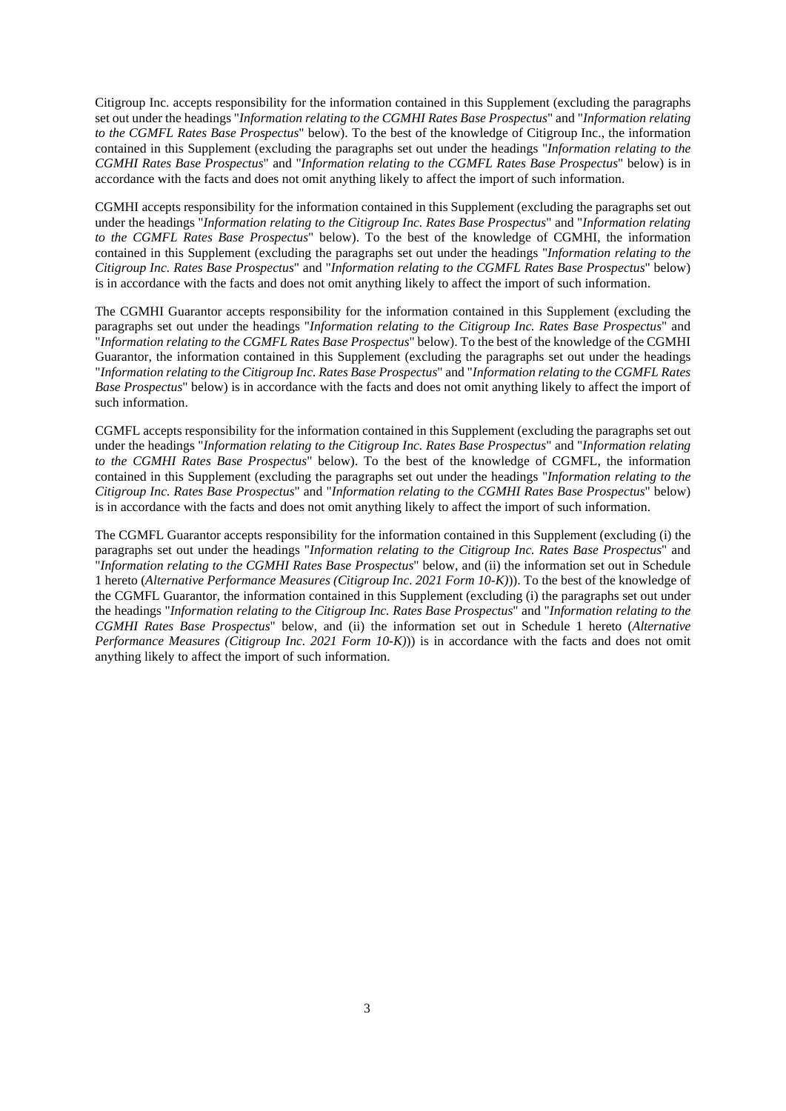Citigroup Inc. accepts responsibility for the information contained in this Supplement (excluding the paragraphs set out under the headings "*Information relating to the CGMHI Rates Base Prospectus*" and "*Information relating to the CGMFL Rates Base Prospectus*" below). To the best of the knowledge of Citigroup Inc., the information contained in this Supplement (excluding the paragraphs set out under the headings "*Information relating to the CGMHI Rates Base Prospectus*" and "*Information relating to the CGMFL Rates Base Prospectus*" below) is in accordance with the facts and does not omit anything likely to affect the import of such information.

CGMHI accepts responsibility for the information contained in this Supplement (excluding the paragraphs set out under the headings "*Information relating to the Citigroup Inc. Rates Base Prospectus*" and "*Information relating to the CGMFL Rates Base Prospectus*" below). To the best of the knowledge of CGMHI, the information contained in this Supplement (excluding the paragraphs set out under the headings "*Information relating to the Citigroup Inc. Rates Base Prospectus*" and "*Information relating to the CGMFL Rates Base Prospectus*" below) is in accordance with the facts and does not omit anything likely to affect the import of such information.

The CGMHI Guarantor accepts responsibility for the information contained in this Supplement (excluding the paragraphs set out under the headings "*Information relating to the Citigroup Inc. Rates Base Prospectus*" and "*Information relating to the CGMFL Rates Base Prospectus*" below). To the best of the knowledge of the CGMHI Guarantor, the information contained in this Supplement (excluding the paragraphs set out under the headings "*Information relating to the Citigroup Inc. Rates Base Prospectus*" and "*Information relating to the CGMFL Rates Base Prospectus*" below) is in accordance with the facts and does not omit anything likely to affect the import of such information.

CGMFL accepts responsibility for the information contained in this Supplement (excluding the paragraphs set out under the headings "*Information relating to the Citigroup Inc. Rates Base Prospectus*" and "*Information relating to the CGMHI Rates Base Prospectus*" below). To the best of the knowledge of CGMFL, the information contained in this Supplement (excluding the paragraphs set out under the headings "*Information relating to the Citigroup Inc. Rates Base Prospectus*" and "*Information relating to the CGMHI Rates Base Prospectus*" below) is in accordance with the facts and does not omit anything likely to affect the import of such information.

The CGMFL Guarantor accepts responsibility for the information contained in this Supplement (excluding (i) the paragraphs set out under the headings "*Information relating to the Citigroup Inc. Rates Base Prospectus*" and "*Information relating to the CGMHI Rates Base Prospectus*" below, and (ii) the information set out in Schedule 1 hereto (*Alternative Performance Measures (Citigroup Inc. 2021 Form 10-K)*)). To the best of the knowledge of the CGMFL Guarantor, the information contained in this Supplement (excluding (i) the paragraphs set out under the headings "*Information relating to the Citigroup Inc. Rates Base Prospectus*" and "*Information relating to the CGMHI Rates Base Prospectus*" below, and (ii) the information set out in Schedule 1 hereto (*Alternative Performance Measures (Citigroup Inc. 2021 Form 10-K)))* is in accordance with the facts and does not omit anything likely to affect the import of such information.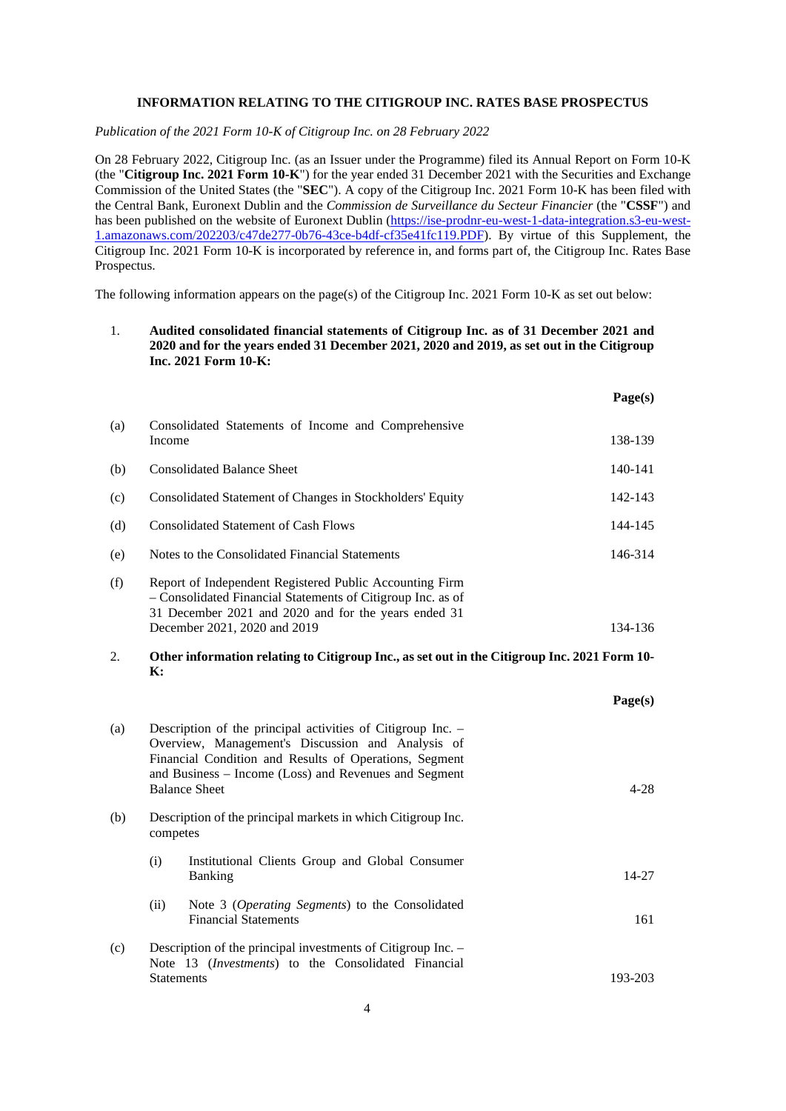# **INFORMATION RELATING TO THE CITIGROUP INC. RATES BASE PROSPECTUS**

*Publication of the 2021 Form 10-K of Citigroup Inc. on 28 February 2022* 

On 28 February 2022, Citigroup Inc. (as an Issuer under the Programme) filed its Annual Report on Form 10-K (the "**Citigroup Inc. 2021 Form 10-K**") for the year ended 31 December 2021 with the Securities and Exchange Commission of the United States (the "**SEC**"). A copy of the Citigroup Inc. 2021 Form 10-K has been filed with the Central Bank, Euronext Dublin and the *Commission de Surveillance du Secteur Financier* (the "**CSSF**") and has been published on the website of Euronext Dublin (https://ise-prodnr-eu-west-1-data-integration.s3-eu-west-1.amazonaws.com/202203/c47de277-0b76-43ce-b4df-cf35e41fc119.PDF). By virtue of this Supplement, the Citigroup Inc. 2021 Form 10-K is incorporated by reference in, and forms part of, the Citigroup Inc. Rates Base Prospectus.

The following information appears on the page(s) of the Citigroup Inc. 2021 Form 10-K as set out below:

# 1. **Audited consolidated financial statements of Citigroup Inc. as of 31 December 2021 and 2020 and for the years ended 31 December 2021, 2020 and 2019, as set out in the Citigroup Inc. 2021 Form 10-K:**

|                                                                                                                      |                                                                                                                                                                                                                                                             | Page(s)   |  |
|----------------------------------------------------------------------------------------------------------------------|-------------------------------------------------------------------------------------------------------------------------------------------------------------------------------------------------------------------------------------------------------------|-----------|--|
| (a)                                                                                                                  | Consolidated Statements of Income and Comprehensive<br>Income                                                                                                                                                                                               | 138-139   |  |
| (b)                                                                                                                  | <b>Consolidated Balance Sheet</b>                                                                                                                                                                                                                           | 140-141   |  |
| (c)                                                                                                                  | Consolidated Statement of Changes in Stockholders' Equity                                                                                                                                                                                                   | 142-143   |  |
| (d)                                                                                                                  | <b>Consolidated Statement of Cash Flows</b>                                                                                                                                                                                                                 | 144-145   |  |
| (e)                                                                                                                  | Notes to the Consolidated Financial Statements                                                                                                                                                                                                              | 146-314   |  |
| (f)                                                                                                                  | Report of Independent Registered Public Accounting Firm<br>- Consolidated Financial Statements of Citigroup Inc. as of<br>31 December 2021 and 2020 and for the years ended 31<br>December 2021, 2020 and 2019                                              | 134-136   |  |
| 2.<br>Other information relating to Citigroup Inc., as set out in the Citigroup Inc. 2021 Form 10-<br>$\mathbf{K}$ : |                                                                                                                                                                                                                                                             |           |  |
|                                                                                                                      |                                                                                                                                                                                                                                                             | Page(s)   |  |
| (a)                                                                                                                  | Description of the principal activities of Citigroup Inc. -<br>Overview, Management's Discussion and Analysis of<br>Financial Condition and Results of Operations, Segment<br>and Business - Income (Loss) and Revenues and Segment<br><b>Balance Sheet</b> |           |  |
| (b)                                                                                                                  | Description of the principal markets in which Citigroup Inc.<br>competes                                                                                                                                                                                    |           |  |
|                                                                                                                      | (i)<br>Institutional Clients Group and Global Consumer<br>Banking                                                                                                                                                                                           | $14 - 27$ |  |
|                                                                                                                      | (ii)<br>Note 3 (Operating Segments) to the Consolidated<br><b>Financial Statements</b>                                                                                                                                                                      | 161       |  |
| (c)                                                                                                                  | Description of the principal investments of Citigroup Inc. -<br>Note 13 (Investments) to the Consolidated Financial                                                                                                                                         |           |  |

Statements 193-203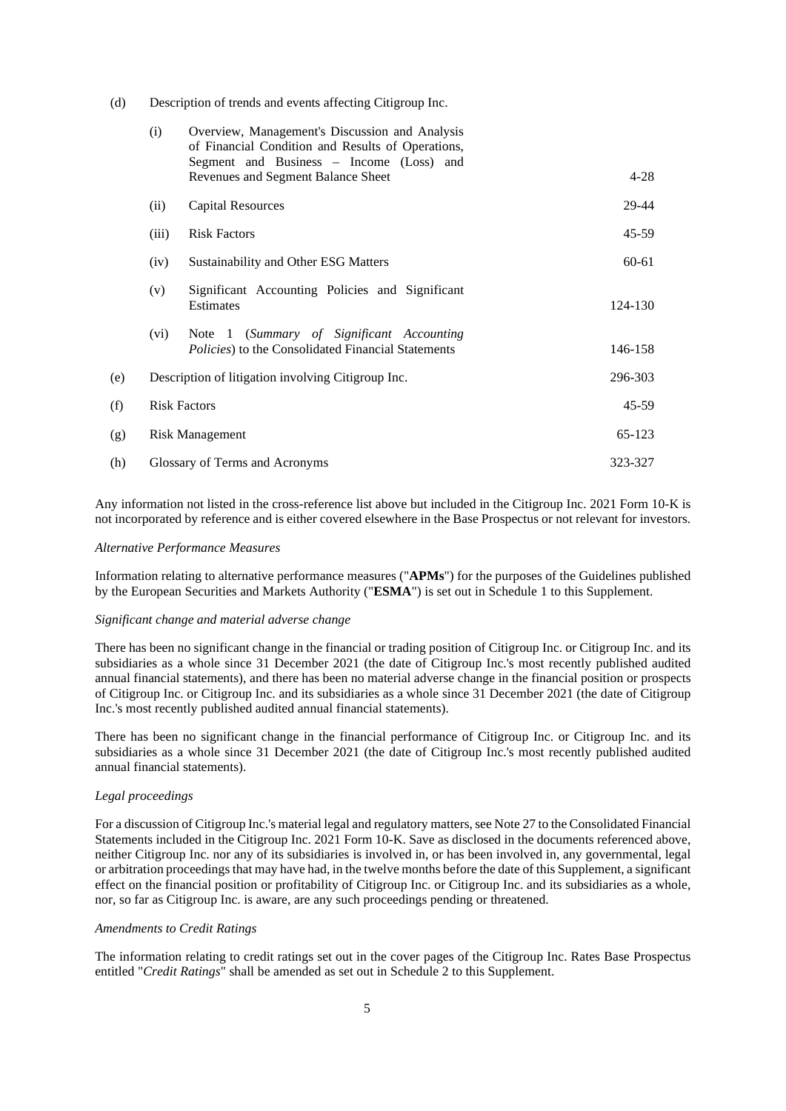(d) Description of trends and events affecting Citigroup Inc.

|     | (i)                                                | Overview, Management's Discussion and Analysis<br>of Financial Condition and Results of Operations,<br>Segment and Business - Income (Loss) and |           |
|-----|----------------------------------------------------|-------------------------------------------------------------------------------------------------------------------------------------------------|-----------|
|     |                                                    | Revenues and Segment Balance Sheet                                                                                                              | $4 - 28$  |
|     | (ii)                                               | <b>Capital Resources</b>                                                                                                                        | 29-44     |
|     | (iii)                                              | <b>Risk Factors</b>                                                                                                                             | $45 - 59$ |
|     | (iv)                                               | Sustainability and Other ESG Matters                                                                                                            | 60-61     |
|     | (v)                                                | Significant Accounting Policies and Significant<br>Estimates                                                                                    | 124-130   |
|     | (vi)                                               | Note 1 (Summary of Significant Accounting<br><i>Policies</i> ) to the Consolidated Financial Statements                                         | 146-158   |
| (e) | Description of litigation involving Citigroup Inc. |                                                                                                                                                 | 296-303   |
| (f) | <b>Risk Factors</b>                                |                                                                                                                                                 | $45 - 59$ |
| (g) | <b>Risk Management</b>                             |                                                                                                                                                 | 65-123    |
| (h) | Glossary of Terms and Acronyms                     |                                                                                                                                                 | 323-327   |

Any information not listed in the cross-reference list above but included in the Citigroup Inc. 2021 Form 10-K is not incorporated by reference and is either covered elsewhere in the Base Prospectus or not relevant for investors.

#### *Alternative Performance Measures*

Information relating to alternative performance measures ("**APMs**") for the purposes of the Guidelines published by the European Securities and Markets Authority ("**ESMA**") is set out in Schedule 1 to this Supplement.

### *Significant change and material adverse change*

There has been no significant change in the financial or trading position of Citigroup Inc. or Citigroup Inc. and its subsidiaries as a whole since 31 December 2021 (the date of Citigroup Inc.'s most recently published audited annual financial statements), and there has been no material adverse change in the financial position or prospects of Citigroup Inc. or Citigroup Inc. and its subsidiaries as a whole since 31 December 2021 (the date of Citigroup Inc.'s most recently published audited annual financial statements).

There has been no significant change in the financial performance of Citigroup Inc. or Citigroup Inc. and its subsidiaries as a whole since 31 December 2021 (the date of Citigroup Inc.'s most recently published audited annual financial statements).

#### *Legal proceedings*

For a discussion of Citigroup Inc.'s material legal and regulatory matters, see Note 27 to the Consolidated Financial Statements included in the Citigroup Inc. 2021 Form 10-K. Save as disclosed in the documents referenced above, neither Citigroup Inc. nor any of its subsidiaries is involved in, or has been involved in, any governmental, legal or arbitration proceedings that may have had, in the twelve months before the date of this Supplement, a significant effect on the financial position or profitability of Citigroup Inc. or Citigroup Inc. and its subsidiaries as a whole, nor, so far as Citigroup Inc. is aware, are any such proceedings pending or threatened.

### *Amendments to Credit Ratings*

The information relating to credit ratings set out in the cover pages of the Citigroup Inc. Rates Base Prospectus entitled "*Credit Ratings*" shall be amended as set out in Schedule 2 to this Supplement.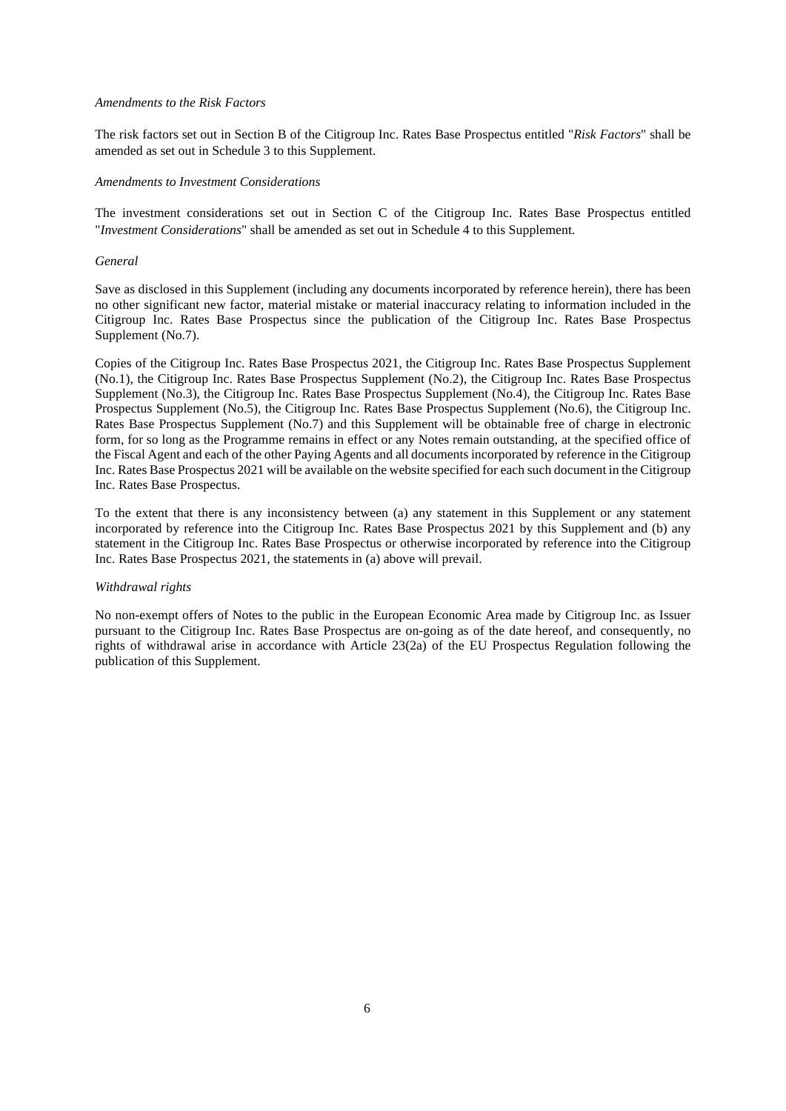### *Amendments to the Risk Factors*

The risk factors set out in Section B of the Citigroup Inc. Rates Base Prospectus entitled "*Risk Factors*" shall be amended as set out in Schedule 3 to this Supplement.

### *Amendments to Investment Considerations*

The investment considerations set out in Section C of the Citigroup Inc. Rates Base Prospectus entitled "*Investment Considerations*" shall be amended as set out in Schedule 4 to this Supplement.

### *General*

Save as disclosed in this Supplement (including any documents incorporated by reference herein), there has been no other significant new factor, material mistake or material inaccuracy relating to information included in the Citigroup Inc. Rates Base Prospectus since the publication of the Citigroup Inc. Rates Base Prospectus Supplement (No.7).

Copies of the Citigroup Inc. Rates Base Prospectus 2021, the Citigroup Inc. Rates Base Prospectus Supplement (No.1), the Citigroup Inc. Rates Base Prospectus Supplement (No.2), the Citigroup Inc. Rates Base Prospectus Supplement (No.3), the Citigroup Inc. Rates Base Prospectus Supplement (No.4), the Citigroup Inc. Rates Base Prospectus Supplement (No.5), the Citigroup Inc. Rates Base Prospectus Supplement (No.6), the Citigroup Inc. Rates Base Prospectus Supplement (No.7) and this Supplement will be obtainable free of charge in electronic form, for so long as the Programme remains in effect or any Notes remain outstanding, at the specified office of the Fiscal Agent and each of the other Paying Agents and all documents incorporated by reference in the Citigroup Inc. Rates Base Prospectus 2021 will be available on the website specified for each such document in the Citigroup Inc. Rates Base Prospectus.

To the extent that there is any inconsistency between (a) any statement in this Supplement or any statement incorporated by reference into the Citigroup Inc. Rates Base Prospectus 2021 by this Supplement and (b) any statement in the Citigroup Inc. Rates Base Prospectus or otherwise incorporated by reference into the Citigroup Inc. Rates Base Prospectus 2021, the statements in (a) above will prevail.

### *Withdrawal rights*

No non-exempt offers of Notes to the public in the European Economic Area made by Citigroup Inc. as Issuer pursuant to the Citigroup Inc. Rates Base Prospectus are on-going as of the date hereof, and consequently, no rights of withdrawal arise in accordance with Article 23(2a) of the EU Prospectus Regulation following the publication of this Supplement.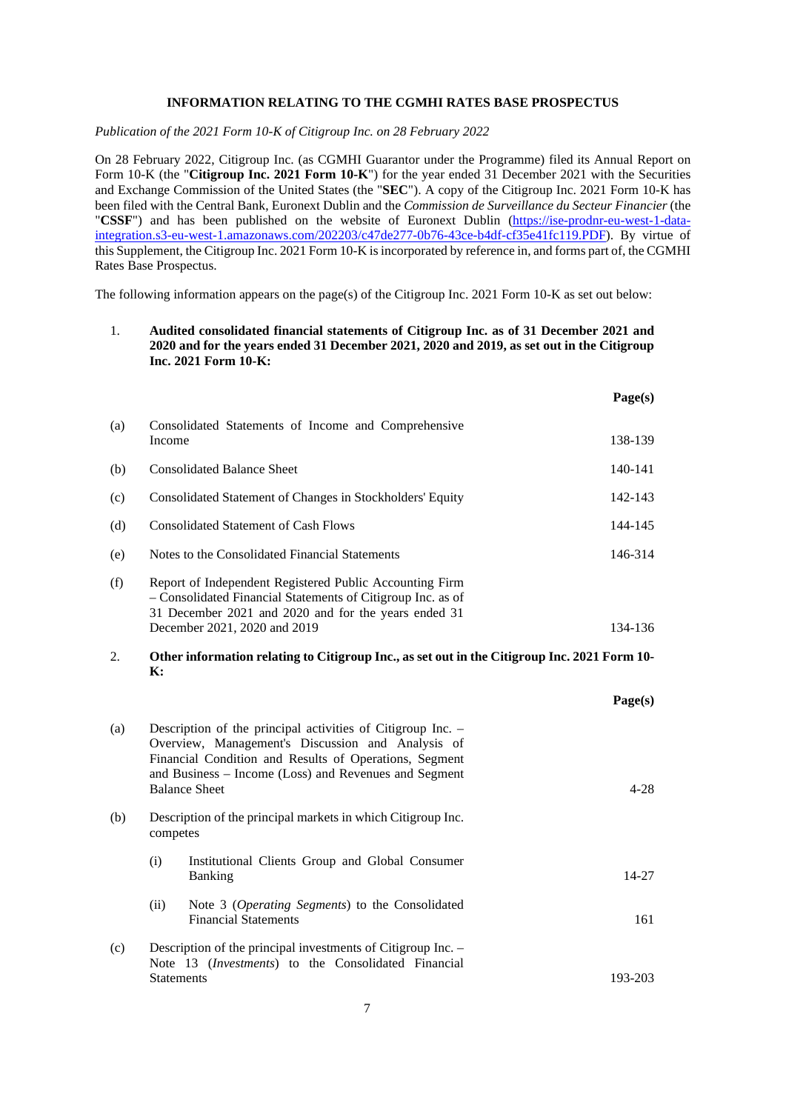### **INFORMATION RELATING TO THE CGMHI RATES BASE PROSPECTUS**

*Publication of the 2021 Form 10-K of Citigroup Inc. on 28 February 2022* 

On 28 February 2022, Citigroup Inc. (as CGMHI Guarantor under the Programme) filed its Annual Report on Form 10-K (the "**Citigroup Inc. 2021 Form 10-K**") for the year ended 31 December 2021 with the Securities and Exchange Commission of the United States (the "**SEC**"). A copy of the Citigroup Inc. 2021 Form 10-K has been filed with the Central Bank, Euronext Dublin and the *Commission de Surveillance du Secteur Financier* (the "**CSSF**") and has been published on the website of Euronext Dublin (https://ise-prodnr-eu-west-1-dataintegration.s3-eu-west-1.amazonaws.com/202203/c47de277-0b76-43ce-b4df-cf35e41fc119.PDF). By virtue of this Supplement, the Citigroup Inc. 2021 Form 10-K is incorporated by reference in, and forms part of, the CGMHI Rates Base Prospectus.

The following information appears on the page(s) of the Citigroup Inc. 2021 Form 10-K as set out below:

# 1. **Audited consolidated financial statements of Citigroup Inc. as of 31 December 2021 and 2020 and for the years ended 31 December 2021, 2020 and 2019, as set out in the Citigroup Inc. 2021 Form 10-K:**

|                                                                                                                                    |                                                                                                                                                                                                                                                             |                                                                                | Page(s)   |
|------------------------------------------------------------------------------------------------------------------------------------|-------------------------------------------------------------------------------------------------------------------------------------------------------------------------------------------------------------------------------------------------------------|--------------------------------------------------------------------------------|-----------|
| (a)                                                                                                                                | Income                                                                                                                                                                                                                                                      | Consolidated Statements of Income and Comprehensive                            | 138-139   |
| (b)                                                                                                                                |                                                                                                                                                                                                                                                             | <b>Consolidated Balance Sheet</b>                                              | 140-141   |
| (c)                                                                                                                                |                                                                                                                                                                                                                                                             | Consolidated Statement of Changes in Stockholders' Equity                      | 142-143   |
| (d)                                                                                                                                |                                                                                                                                                                                                                                                             | <b>Consolidated Statement of Cash Flows</b>                                    | 144-145   |
| (e)                                                                                                                                |                                                                                                                                                                                                                                                             | Notes to the Consolidated Financial Statements                                 | 146-314   |
| (f)                                                                                                                                | Report of Independent Registered Public Accounting Firm<br>- Consolidated Financial Statements of Citigroup Inc. as of<br>31 December 2021 and 2020 and for the years ended 31<br>December 2021, 2020 and 2019                                              |                                                                                | 134-136   |
| $\overline{2}$ .<br>Other information relating to Citigroup Inc., as set out in the Citigroup Inc. 2021 Form 10-<br>$\mathbf{K}$ : |                                                                                                                                                                                                                                                             |                                                                                |           |
|                                                                                                                                    |                                                                                                                                                                                                                                                             |                                                                                | Page(s)   |
| (a)                                                                                                                                | Description of the principal activities of Citigroup Inc. –<br>Overview, Management's Discussion and Analysis of<br>Financial Condition and Results of Operations, Segment<br>and Business - Income (Loss) and Revenues and Segment<br><b>Balance Sheet</b> |                                                                                | $4 - 28$  |
| (b)                                                                                                                                | Description of the principal markets in which Citigroup Inc.<br>competes                                                                                                                                                                                    |                                                                                |           |
|                                                                                                                                    | (i)                                                                                                                                                                                                                                                         | Institutional Clients Group and Global Consumer<br><b>Banking</b>              | $14 - 27$ |
|                                                                                                                                    | (ii)                                                                                                                                                                                                                                                        | Note 3 (Operating Segments) to the Consolidated<br><b>Financial Statements</b> | 161       |
| (c)                                                                                                                                |                                                                                                                                                                                                                                                             | Description of the principal investments of Citigroup Inc. $-$                 |           |

(c) Description of the principal investments of Citigroup Inc. Note 13 (*Investments*) to the Consolidated Financial Statements 193-203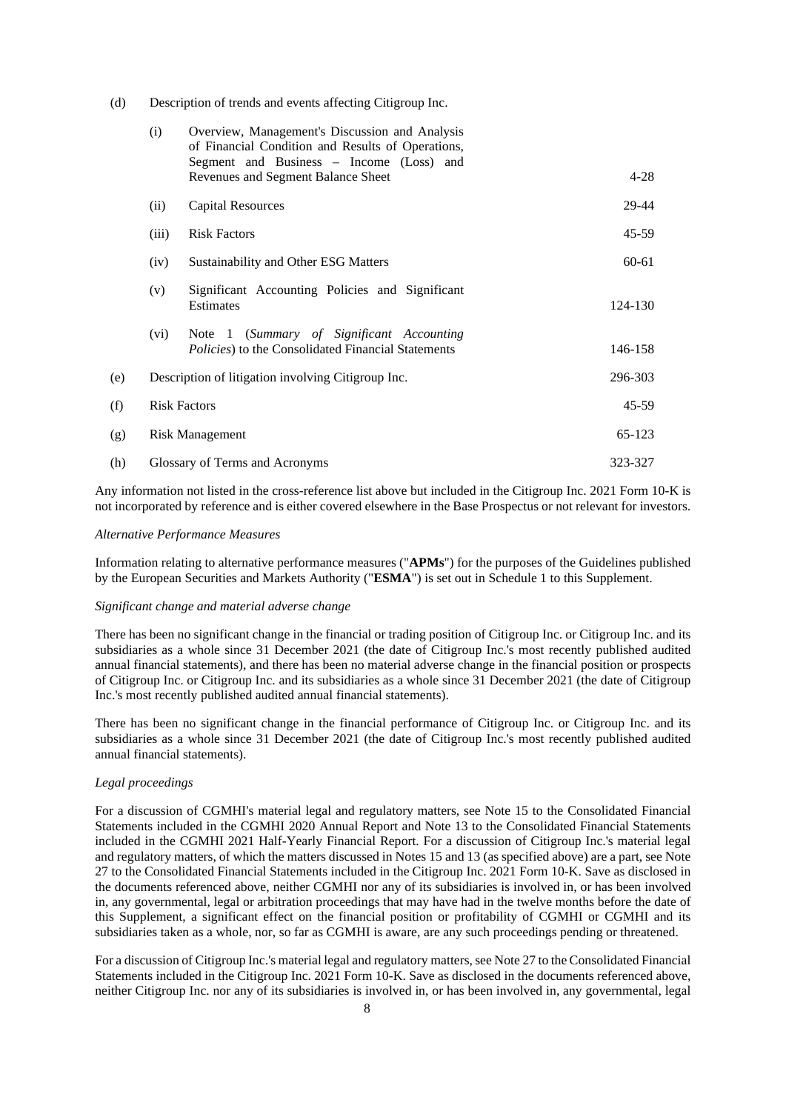(d) Description of trends and events affecting Citigroup Inc.

|     | (i)                                                | Overview, Management's Discussion and Analysis<br>of Financial Condition and Results of Operations,<br>Segment and Business - Income (Loss) and |           |
|-----|----------------------------------------------------|-------------------------------------------------------------------------------------------------------------------------------------------------|-----------|
|     |                                                    | Revenues and Segment Balance Sheet                                                                                                              | $4 - 28$  |
|     | (ii)                                               | <b>Capital Resources</b>                                                                                                                        | 29-44     |
|     | (iii)                                              | <b>Risk Factors</b>                                                                                                                             | 45-59     |
|     | (iv)                                               | Sustainability and Other ESG Matters                                                                                                            | 60-61     |
|     | (v)                                                | Significant Accounting Policies and Significant<br>Estimates                                                                                    | 124-130   |
|     | (vi)                                               | Note 1 (Summary of Significant Accounting<br><i>Policies</i> ) to the Consolidated Financial Statements                                         | 146-158   |
| (e) | Description of litigation involving Citigroup Inc. |                                                                                                                                                 | 296-303   |
| (f) | <b>Risk Factors</b>                                |                                                                                                                                                 | $45 - 59$ |
| (g) | <b>Risk Management</b>                             |                                                                                                                                                 | 65-123    |
| (h) | Glossary of Terms and Acronyms                     |                                                                                                                                                 | 323-327   |

Any information not listed in the cross-reference list above but included in the Citigroup Inc. 2021 Form 10-K is not incorporated by reference and is either covered elsewhere in the Base Prospectus or not relevant for investors.

### *Alternative Performance Measures*

Information relating to alternative performance measures ("**APMs**") for the purposes of the Guidelines published by the European Securities and Markets Authority ("**ESMA**") is set out in Schedule 1 to this Supplement.

### *Significant change and material adverse change*

There has been no significant change in the financial or trading position of Citigroup Inc. or Citigroup Inc. and its subsidiaries as a whole since 31 December 2021 (the date of Citigroup Inc.'s most recently published audited annual financial statements), and there has been no material adverse change in the financial position or prospects of Citigroup Inc. or Citigroup Inc. and its subsidiaries as a whole since 31 December 2021 (the date of Citigroup Inc.'s most recently published audited annual financial statements).

There has been no significant change in the financial performance of Citigroup Inc. or Citigroup Inc. and its subsidiaries as a whole since 31 December 2021 (the date of Citigroup Inc.'s most recently published audited annual financial statements).

### *Legal proceedings*

For a discussion of CGMHI's material legal and regulatory matters, see Note 15 to the Consolidated Financial Statements included in the CGMHI 2020 Annual Report and Note 13 to the Consolidated Financial Statements included in the CGMHI 2021 Half-Yearly Financial Report. For a discussion of Citigroup Inc.'s material legal and regulatory matters, of which the matters discussed in Notes 15 and 13 (as specified above) are a part, see Note 27 to the Consolidated Financial Statements included in the Citigroup Inc. 2021 Form 10-K. Save as disclosed in the documents referenced above, neither CGMHI nor any of its subsidiaries is involved in, or has been involved in, any governmental, legal or arbitration proceedings that may have had in the twelve months before the date of this Supplement, a significant effect on the financial position or profitability of CGMHI or CGMHI and its subsidiaries taken as a whole, nor, so far as CGMHI is aware, are any such proceedings pending or threatened.

For a discussion of Citigroup Inc.'s material legal and regulatory matters, see Note 27 to the Consolidated Financial Statements included in the Citigroup Inc. 2021 Form 10-K. Save as disclosed in the documents referenced above, neither Citigroup Inc. nor any of its subsidiaries is involved in, or has been involved in, any governmental, legal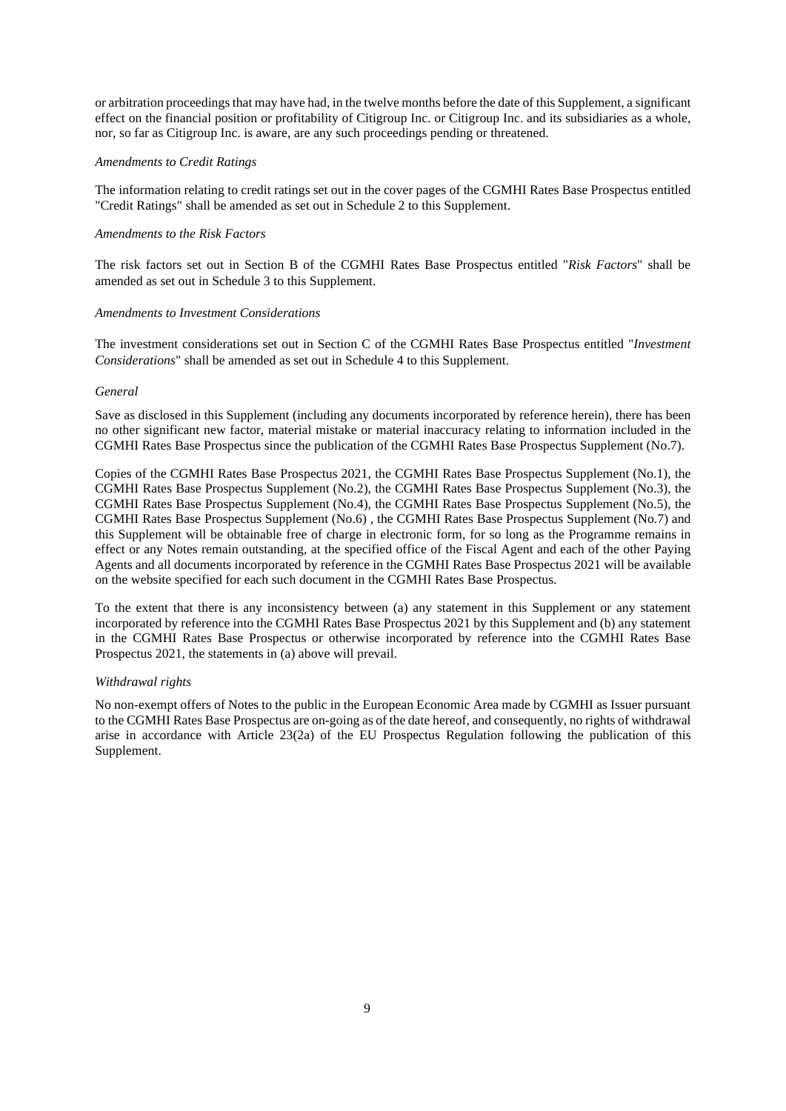or arbitration proceedings that may have had, in the twelve months before the date of this Supplement, a significant effect on the financial position or profitability of Citigroup Inc. or Citigroup Inc. and its subsidiaries as a whole, nor, so far as Citigroup Inc. is aware, are any such proceedings pending or threatened.

### *Amendments to Credit Ratings*

The information relating to credit ratings set out in the cover pages of the CGMHI Rates Base Prospectus entitled "Credit Ratings" shall be amended as set out in Schedule 2 to this Supplement.

### *Amendments to the Risk Factors*

The risk factors set out in Section B of the CGMHI Rates Base Prospectus entitled "*Risk Factors*" shall be amended as set out in Schedule 3 to this Supplement.

### *Amendments to Investment Considerations*

The investment considerations set out in Section C of the CGMHI Rates Base Prospectus entitled "*Investment Considerations*" shall be amended as set out in Schedule 4 to this Supplement.

### *General*

Save as disclosed in this Supplement (including any documents incorporated by reference herein), there has been no other significant new factor, material mistake or material inaccuracy relating to information included in the CGMHI Rates Base Prospectus since the publication of the CGMHI Rates Base Prospectus Supplement (No.7).

Copies of the CGMHI Rates Base Prospectus 2021, the CGMHI Rates Base Prospectus Supplement (No.1), the CGMHI Rates Base Prospectus Supplement (No.2), the CGMHI Rates Base Prospectus Supplement (No.3), the CGMHI Rates Base Prospectus Supplement (No.4), the CGMHI Rates Base Prospectus Supplement (No.5), the CGMHI Rates Base Prospectus Supplement (No.6) , the CGMHI Rates Base Prospectus Supplement (No.7) and this Supplement will be obtainable free of charge in electronic form, for so long as the Programme remains in effect or any Notes remain outstanding, at the specified office of the Fiscal Agent and each of the other Paying Agents and all documents incorporated by reference in the CGMHI Rates Base Prospectus 2021 will be available on the website specified for each such document in the CGMHI Rates Base Prospectus.

To the extent that there is any inconsistency between (a) any statement in this Supplement or any statement incorporated by reference into the CGMHI Rates Base Prospectus 2021 by this Supplement and (b) any statement in the CGMHI Rates Base Prospectus or otherwise incorporated by reference into the CGMHI Rates Base Prospectus 2021, the statements in (a) above will prevail.

#### *Withdrawal rights*

No non-exempt offers of Notes to the public in the European Economic Area made by CGMHI as Issuer pursuant to the CGMHI Rates Base Prospectus are on-going as of the date hereof, and consequently, no rights of withdrawal arise in accordance with Article 23(2a) of the EU Prospectus Regulation following the publication of this Supplement.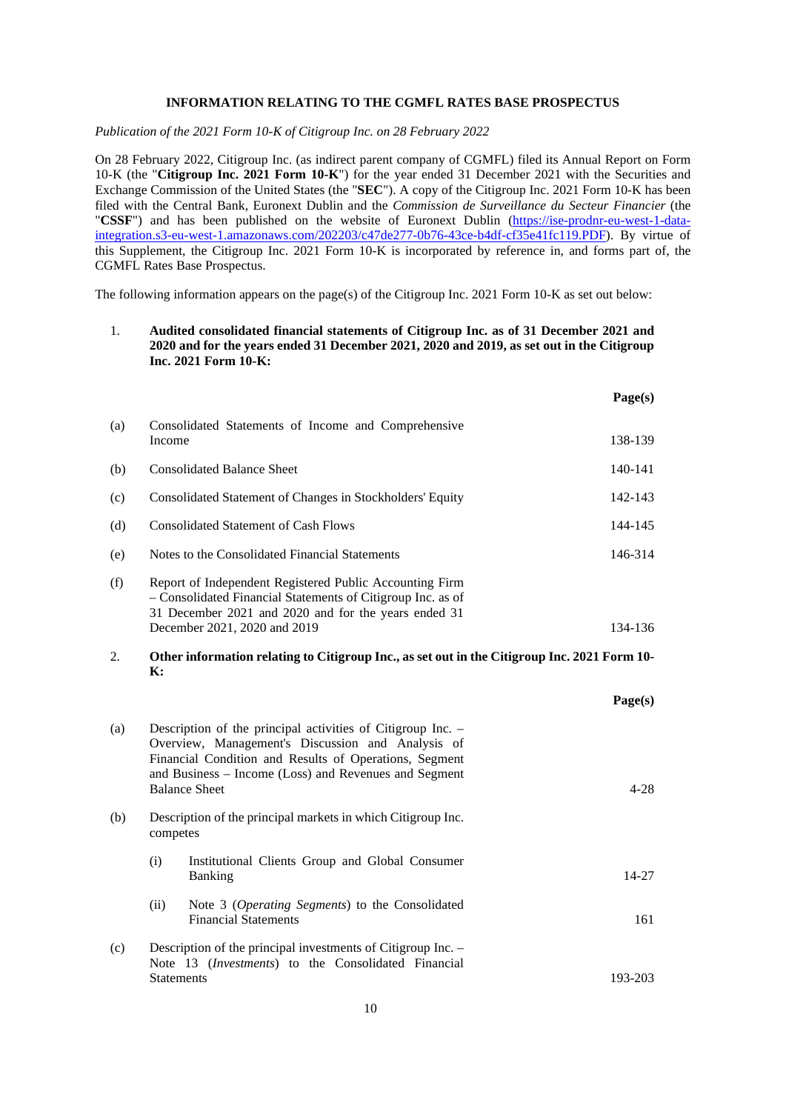### **INFORMATION RELATING TO THE CGMFL RATES BASE PROSPECTUS**

*Publication of the 2021 Form 10-K of Citigroup Inc. on 28 February 2022* 

On 28 February 2022, Citigroup Inc. (as indirect parent company of CGMFL) filed its Annual Report on Form 10-K (the "**Citigroup Inc. 2021 Form 10-K**") for the year ended 31 December 2021 with the Securities and Exchange Commission of the United States (the "**SEC**"). A copy of the Citigroup Inc. 2021 Form 10-K has been filed with the Central Bank, Euronext Dublin and the *Commission de Surveillance du Secteur Financier* (the "CSSF") and has been published on the website of Euronext Dublin (https://ise-prodnr-eu-west-1-dataintegration.s3-eu-west-1.amazonaws.com/202203/c47de277-0b76-43ce-b4df-cf35e41fc119.PDF). By virtue of this Supplement, the Citigroup Inc. 2021 Form 10-K is incorporated by reference in, and forms part of, the CGMFL Rates Base Prospectus.

The following information appears on the page(s) of the Citigroup Inc. 2021 Form 10-K as set out below:

# 1. **Audited consolidated financial statements of Citigroup Inc. as of 31 December 2021 and 2020 and for the years ended 31 December 2021, 2020 and 2019, as set out in the Citigroup Inc. 2021 Form 10-K:**

|                      |                                                                                                                                                                                                                                                             |                                                                                                                                                                                                                | Page(s)   |
|----------------------|-------------------------------------------------------------------------------------------------------------------------------------------------------------------------------------------------------------------------------------------------------------|----------------------------------------------------------------------------------------------------------------------------------------------------------------------------------------------------------------|-----------|
| (a)                  | Income                                                                                                                                                                                                                                                      | Consolidated Statements of Income and Comprehensive                                                                                                                                                            | 138-139   |
| (b)                  |                                                                                                                                                                                                                                                             | <b>Consolidated Balance Sheet</b>                                                                                                                                                                              | 140-141   |
| (c)                  |                                                                                                                                                                                                                                                             | Consolidated Statement of Changes in Stockholders' Equity                                                                                                                                                      | 142-143   |
| (d)                  |                                                                                                                                                                                                                                                             | <b>Consolidated Statement of Cash Flows</b>                                                                                                                                                                    | 144-145   |
| (e)                  |                                                                                                                                                                                                                                                             | Notes to the Consolidated Financial Statements                                                                                                                                                                 | 146-314   |
| (f)                  |                                                                                                                                                                                                                                                             | Report of Independent Registered Public Accounting Firm<br>- Consolidated Financial Statements of Citigroup Inc. as of<br>31 December 2021 and 2020 and for the years ended 31<br>December 2021, 2020 and 2019 | 134-136   |
| 2.<br>$\mathbf{K}$ : |                                                                                                                                                                                                                                                             | Other information relating to Citigroup Inc., as set out in the Citigroup Inc. 2021 Form 10-                                                                                                                   |           |
|                      |                                                                                                                                                                                                                                                             |                                                                                                                                                                                                                | Page(s)   |
| (a)                  | Description of the principal activities of Citigroup Inc. -<br>Overview, Management's Discussion and Analysis of<br>Financial Condition and Results of Operations, Segment<br>and Business - Income (Loss) and Revenues and Segment<br><b>Balance Sheet</b> |                                                                                                                                                                                                                | $4 - 28$  |
| (b)                  | Description of the principal markets in which Citigroup Inc.<br>competes                                                                                                                                                                                    |                                                                                                                                                                                                                |           |
|                      | (i)                                                                                                                                                                                                                                                         | Institutional Clients Group and Global Consumer<br><b>Banking</b>                                                                                                                                              | $14 - 27$ |
|                      | (ii)                                                                                                                                                                                                                                                        | Note 3 (Operating Segments) to the Consolidated<br><b>Financial Statements</b>                                                                                                                                 | 161       |
| (c)                  |                                                                                                                                                                                                                                                             | Description of the principal investments of Citigroup Inc. -                                                                                                                                                   |           |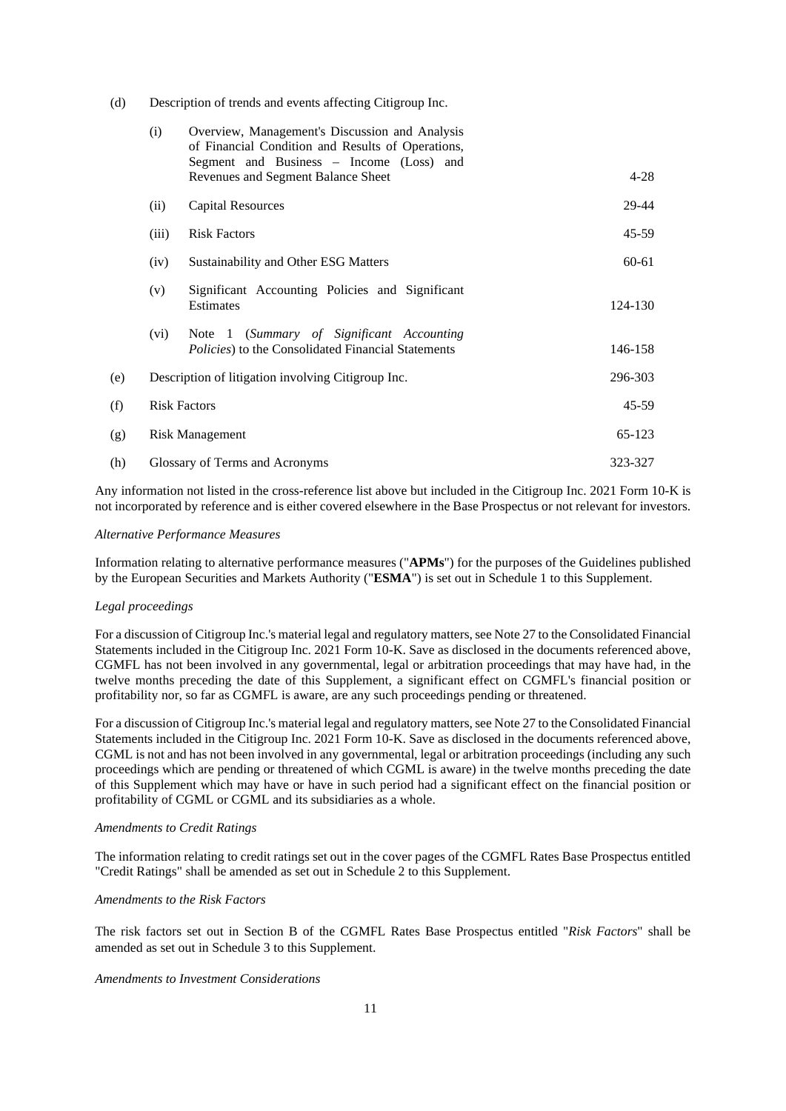(d) Description of trends and events affecting Citigroup Inc.

|     | (i)                            | Overview, Management's Discussion and Analysis<br>of Financial Condition and Results of Operations,<br>Segment and Business - Income (Loss) and |           |
|-----|--------------------------------|-------------------------------------------------------------------------------------------------------------------------------------------------|-----------|
|     |                                | Revenues and Segment Balance Sheet                                                                                                              | $4 - 28$  |
|     | (ii)                           | <b>Capital Resources</b>                                                                                                                        | 29-44     |
|     | (iii)                          | <b>Risk Factors</b>                                                                                                                             | 45-59     |
|     | (iv)                           | Sustainability and Other ESG Matters                                                                                                            | 60-61     |
|     | (v)                            | Significant Accounting Policies and Significant<br>Estimates                                                                                    | 124-130   |
|     | (vi)                           | Note 1 (Summary of Significant Accounting<br><i>Policies</i> ) to the Consolidated Financial Statements                                         | 146-158   |
| (e) |                                | Description of litigation involving Citigroup Inc.                                                                                              | 296-303   |
| (f) |                                | <b>Risk Factors</b>                                                                                                                             | $45 - 59$ |
| (g) | <b>Risk Management</b>         |                                                                                                                                                 | 65-123    |
| (h) | Glossary of Terms and Acronyms |                                                                                                                                                 | 323-327   |

Any information not listed in the cross-reference list above but included in the Citigroup Inc. 2021 Form 10-K is not incorporated by reference and is either covered elsewhere in the Base Prospectus or not relevant for investors.

### *Alternative Performance Measures*

Information relating to alternative performance measures ("**APMs**") for the purposes of the Guidelines published by the European Securities and Markets Authority ("**ESMA**") is set out in Schedule 1 to this Supplement.

### *Legal proceedings*

For a discussion of Citigroup Inc.'s material legal and regulatory matters, see Note 27 to the Consolidated Financial Statements included in the Citigroup Inc. 2021 Form 10-K. Save as disclosed in the documents referenced above, CGMFL has not been involved in any governmental, legal or arbitration proceedings that may have had, in the twelve months preceding the date of this Supplement, a significant effect on CGMFL's financial position or profitability nor, so far as CGMFL is aware, are any such proceedings pending or threatened.

For a discussion of Citigroup Inc.'s material legal and regulatory matters, see Note 27 to the Consolidated Financial Statements included in the Citigroup Inc. 2021 Form 10-K. Save as disclosed in the documents referenced above, CGML is not and has not been involved in any governmental, legal or arbitration proceedings (including any such proceedings which are pending or threatened of which CGML is aware) in the twelve months preceding the date of this Supplement which may have or have in such period had a significant effect on the financial position or profitability of CGML or CGML and its subsidiaries as a whole.

#### *Amendments to Credit Ratings*

The information relating to credit ratings set out in the cover pages of the CGMFL Rates Base Prospectus entitled "Credit Ratings" shall be amended as set out in Schedule 2 to this Supplement.

### *Amendments to the Risk Factors*

The risk factors set out in Section B of the CGMFL Rates Base Prospectus entitled "*Risk Factors*" shall be amended as set out in Schedule 3 to this Supplement.

## *Amendments to Investment Considerations*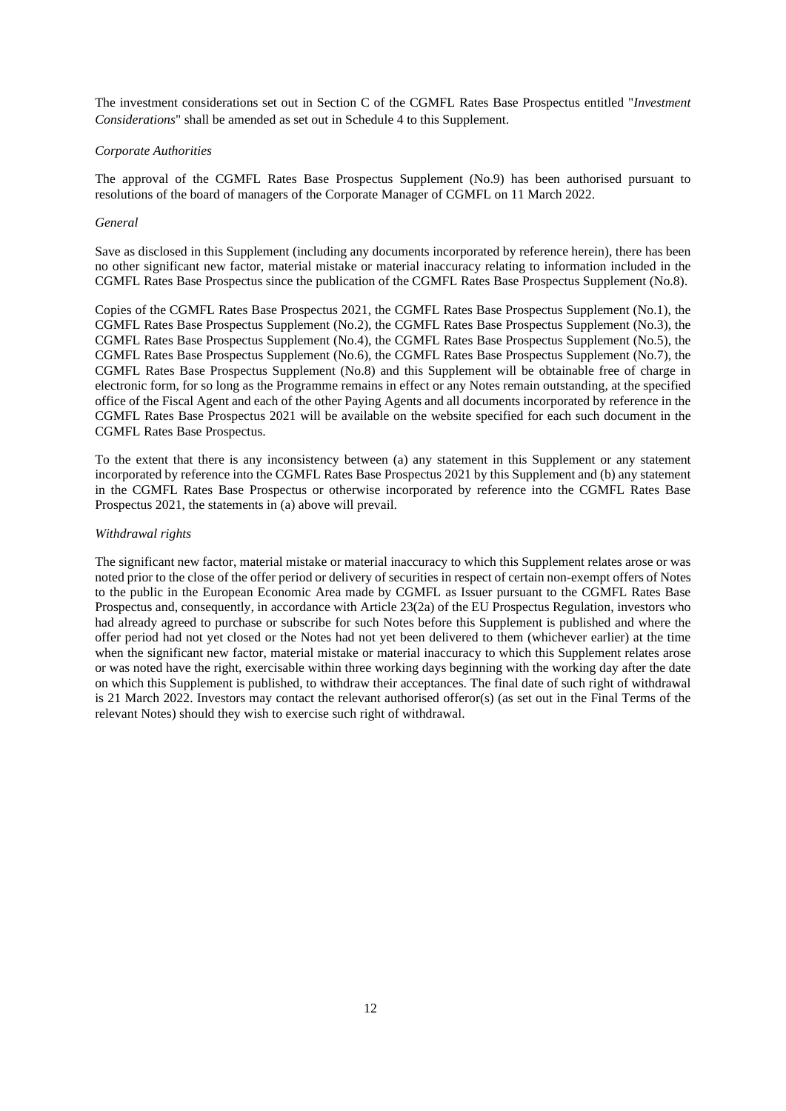The investment considerations set out in Section C of the CGMFL Rates Base Prospectus entitled "*Investment Considerations*" shall be amended as set out in Schedule 4 to this Supplement.

### *Corporate Authorities*

The approval of the CGMFL Rates Base Prospectus Supplement (No.9) has been authorised pursuant to resolutions of the board of managers of the Corporate Manager of CGMFL on 11 March 2022.

### *General*

Save as disclosed in this Supplement (including any documents incorporated by reference herein), there has been no other significant new factor, material mistake or material inaccuracy relating to information included in the CGMFL Rates Base Prospectus since the publication of the CGMFL Rates Base Prospectus Supplement (No.8).

Copies of the CGMFL Rates Base Prospectus 2021, the CGMFL Rates Base Prospectus Supplement (No.1), the CGMFL Rates Base Prospectus Supplement (No.2), the CGMFL Rates Base Prospectus Supplement (No.3), the CGMFL Rates Base Prospectus Supplement (No.4), the CGMFL Rates Base Prospectus Supplement (No.5), the CGMFL Rates Base Prospectus Supplement (No.6), the CGMFL Rates Base Prospectus Supplement (No.7), the CGMFL Rates Base Prospectus Supplement (No.8) and this Supplement will be obtainable free of charge in electronic form, for so long as the Programme remains in effect or any Notes remain outstanding, at the specified office of the Fiscal Agent and each of the other Paying Agents and all documents incorporated by reference in the CGMFL Rates Base Prospectus 2021 will be available on the website specified for each such document in the CGMFL Rates Base Prospectus.

To the extent that there is any inconsistency between (a) any statement in this Supplement or any statement incorporated by reference into the CGMFL Rates Base Prospectus 2021 by this Supplement and (b) any statement in the CGMFL Rates Base Prospectus or otherwise incorporated by reference into the CGMFL Rates Base Prospectus 2021, the statements in (a) above will prevail.

### *Withdrawal rights*

The significant new factor, material mistake or material inaccuracy to which this Supplement relates arose or was noted prior to the close of the offer period or delivery of securities in respect of certain non-exempt offers of Notes to the public in the European Economic Area made by CGMFL as Issuer pursuant to the CGMFL Rates Base Prospectus and, consequently, in accordance with Article 23(2a) of the EU Prospectus Regulation, investors who had already agreed to purchase or subscribe for such Notes before this Supplement is published and where the offer period had not yet closed or the Notes had not yet been delivered to them (whichever earlier) at the time when the significant new factor, material mistake or material inaccuracy to which this Supplement relates arose or was noted have the right, exercisable within three working days beginning with the working day after the date on which this Supplement is published, to withdraw their acceptances. The final date of such right of withdrawal is 21 March 2022. Investors may contact the relevant authorised offeror(s) (as set out in the Final Terms of the relevant Notes) should they wish to exercise such right of withdrawal.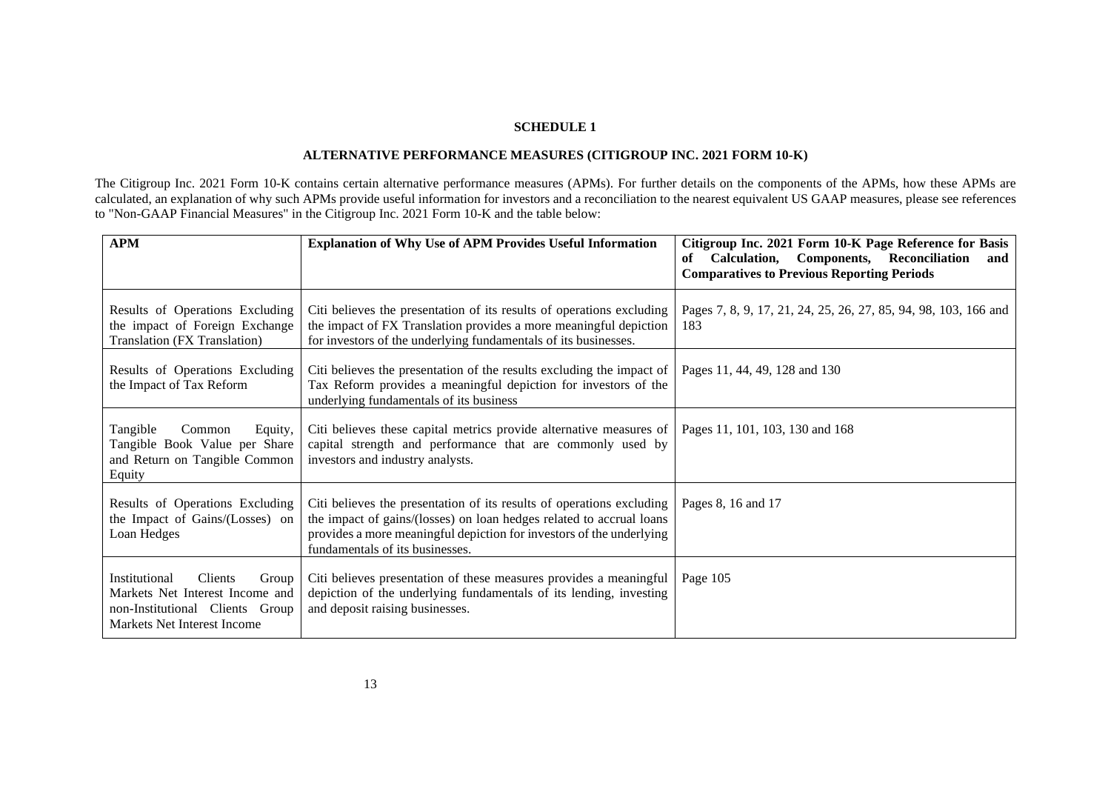# **ALTERNATIVE PERFORMANCE MEASURES (CITIGROUP INC. 2021 FORM 10-K)**

The Citigroup Inc. 2021 Form 10-K contains certain alternative performance measures (APMs). For further details on the components of the APMs, how these APMs are calculated, an explanation of why such APMs provide useful information for investors and a reconciliation to the nearest equivalent US GAAP measures, please see references to "Non-GAAP Financial Measures" in the Citigroup Inc. 2021 Form 10-K and the table below:

| <b>APM</b>                                                                                                                             | <b>Explanation of Why Use of APM Provides Useful Information</b>                                                                                                                                                                                         | Citigroup Inc. 2021 Form 10-K Page Reference for Basis<br>Calculation, Components, Reconciliation<br>of<br>and<br><b>Comparatives to Previous Reporting Periods</b> |
|----------------------------------------------------------------------------------------------------------------------------------------|----------------------------------------------------------------------------------------------------------------------------------------------------------------------------------------------------------------------------------------------------------|---------------------------------------------------------------------------------------------------------------------------------------------------------------------|
| Results of Operations Excluding<br>the impact of Foreign Exchange<br>Translation (FX Translation)                                      | Citi believes the presentation of its results of operations excluding<br>the impact of FX Translation provides a more meaningful depiction<br>for investors of the underlying fundamentals of its businesses.                                            | Pages 7, 8, 9, 17, 21, 24, 25, 26, 27, 85, 94, 98, 103, 166 and<br>183                                                                                              |
| Results of Operations Excluding<br>the Impact of Tax Reform                                                                            | Citi believes the presentation of the results excluding the impact of<br>Tax Reform provides a meaningful depiction for investors of the<br>underlying fundamentals of its business                                                                      | Pages 11, 44, 49, 128 and 130                                                                                                                                       |
| Tangible<br>Common<br>Equity,<br>Tangible Book Value per Share<br>and Return on Tangible Common<br>Equity                              | Citi believes these capital metrics provide alternative measures of<br>capital strength and performance that are commonly used by<br>investors and industry analysts.                                                                                    | Pages 11, 101, 103, 130 and 168                                                                                                                                     |
| Results of Operations Excluding<br>the Impact of Gains/(Losses) on<br>Loan Hedges                                                      | Citi believes the presentation of its results of operations excluding<br>the impact of gains/(losses) on loan hedges related to accrual loans<br>provides a more meaningful depiction for investors of the underlying<br>fundamentals of its businesses. | Pages 8, 16 and 17                                                                                                                                                  |
| Institutional<br>Clients<br>Group<br>Markets Net Interest Income and<br>non-Institutional Clients Group<br>Markets Net Interest Income | Citi believes presentation of these measures provides a meaningful<br>depiction of the underlying fundamentals of its lending, investing<br>and deposit raising businesses.                                                                              | Page 105                                                                                                                                                            |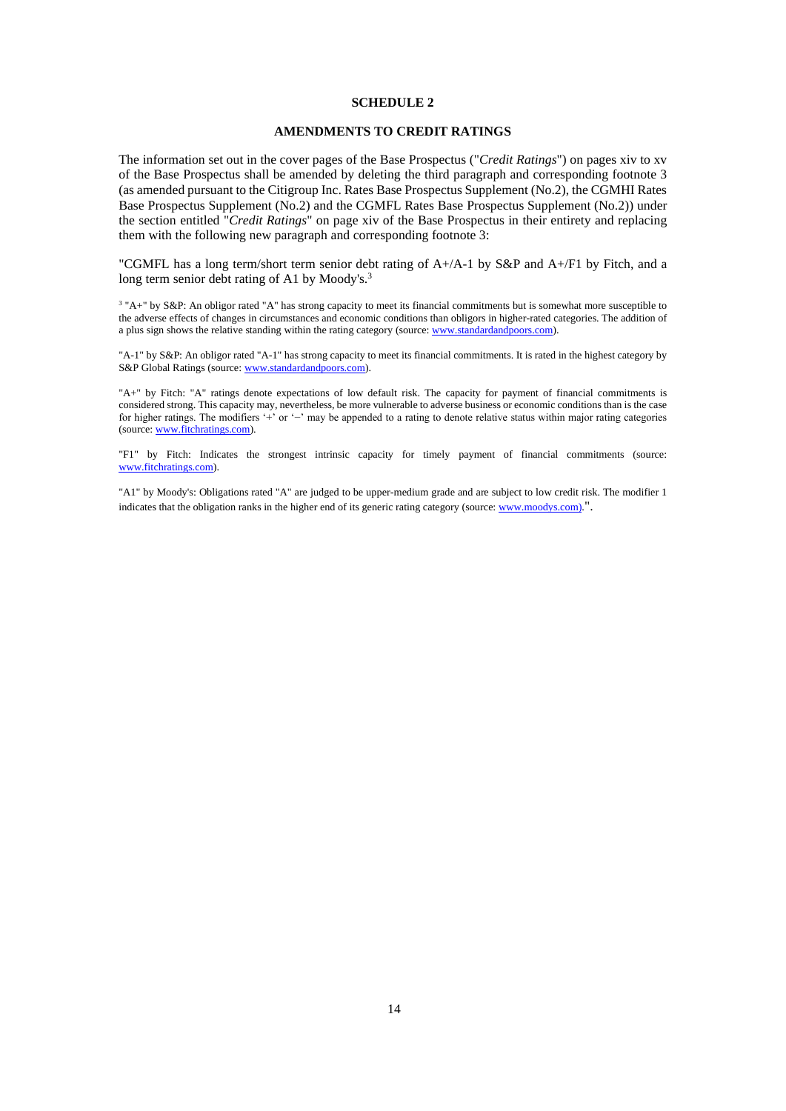## **AMENDMENTS TO CREDIT RATINGS**

The information set out in the cover pages of the Base Prospectus ("*Credit Ratings*") on pages xiv to xv of the Base Prospectus shall be amended by deleting the third paragraph and corresponding footnote 3 (as amended pursuant to the Citigroup Inc. Rates Base Prospectus Supplement (No.2), the CGMHI Rates Base Prospectus Supplement (No.2) and the CGMFL Rates Base Prospectus Supplement (No.2)) under the section entitled "*Credit Ratings*" on page xiv of the Base Prospectus in their entirety and replacing them with the following new paragraph and corresponding footnote 3:

"CGMFL has a long term/short term senior debt rating of A+/A-1 by S&P and A+/F1 by Fitch, and a long term senior debt rating of A1 by Moody's.<sup>3</sup>

<sup>3</sup> "A+" by S&P: An obligor rated "A" has strong capacity to meet its financial commitments but is somewhat more susceptible to the adverse effects of changes in circumstances and economic conditions than obligors in higher-rated categories. The addition of a plus sign shows the relative standing within the rating category (source: www.standardandpoors.com).

"A-1" by S&P: An obligor rated "A-1" has strong capacity to meet its financial commitments. It is rated in the highest category by S&P Global Ratings (source: www.standardandpoors.com).

"A+" by Fitch: "A" ratings denote expectations of low default risk. The capacity for payment of financial commitments is considered strong. This capacity may, nevertheless, be more vulnerable to adverse business or economic conditions than is the case for higher ratings. The modifiers '+' or '−' may be appended to a rating to denote relative status within major rating categories (source: www.fitchratings.com).

"F1" by Fitch: Indicates the strongest intrinsic capacity for timely payment of financial commitments (source: www.fitchratings.com).

"A1" by Moody's: Obligations rated "A" are judged to be upper-medium grade and are subject to low credit risk. The modifier 1 indicates that the obligation ranks in the higher end of its generic rating category (source: www.moodys.com).".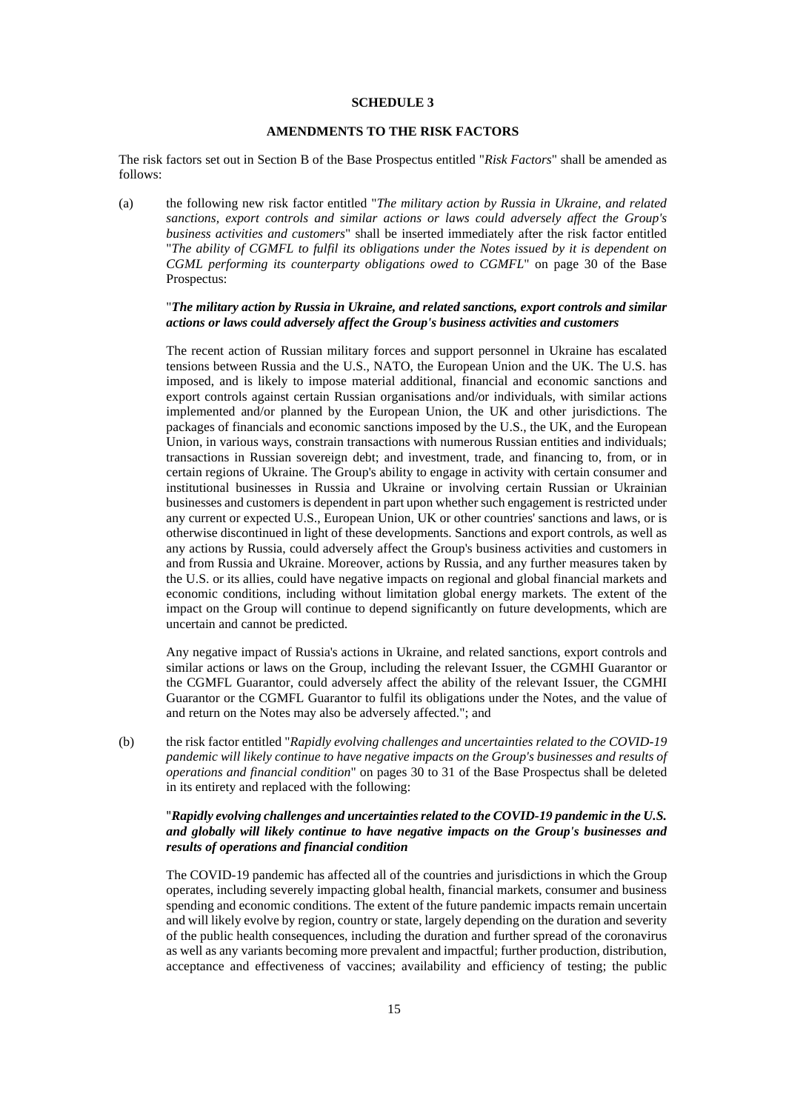# **AMENDMENTS TO THE RISK FACTORS**

The risk factors set out in Section B of the Base Prospectus entitled "*Risk Factors*" shall be amended as follows:

(a) the following new risk factor entitled "*The military action by Russia in Ukraine, and related sanctions, export controls and similar actions or laws could adversely affect the Group's business activities and customers*" shall be inserted immediately after the risk factor entitled "*The ability of CGMFL to fulfil its obligations under the Notes issued by it is dependent on CGML performing its counterparty obligations owed to CGMFL*" on page 30 of the Base Prospectus:

### "*The military action by Russia in Ukraine, and related sanctions, export controls and similar actions or laws could adversely affect the Group's business activities and customers*

The recent action of Russian military forces and support personnel in Ukraine has escalated tensions between Russia and the U.S., NATO, the European Union and the UK. The U.S. has imposed, and is likely to impose material additional, financial and economic sanctions and export controls against certain Russian organisations and/or individuals, with similar actions implemented and/or planned by the European Union, the UK and other jurisdictions. The packages of financials and economic sanctions imposed by the U.S., the UK, and the European Union, in various ways, constrain transactions with numerous Russian entities and individuals; transactions in Russian sovereign debt; and investment, trade, and financing to, from, or in certain regions of Ukraine. The Group's ability to engage in activity with certain consumer and institutional businesses in Russia and Ukraine or involving certain Russian or Ukrainian businesses and customers is dependent in part upon whether such engagement is restricted under any current or expected U.S., European Union, UK or other countries' sanctions and laws, or is otherwise discontinued in light of these developments. Sanctions and export controls, as well as any actions by Russia, could adversely affect the Group's business activities and customers in and from Russia and Ukraine. Moreover, actions by Russia, and any further measures taken by the U.S. or its allies, could have negative impacts on regional and global financial markets and economic conditions, including without limitation global energy markets. The extent of the impact on the Group will continue to depend significantly on future developments, which are uncertain and cannot be predicted.

Any negative impact of Russia's actions in Ukraine, and related sanctions, export controls and similar actions or laws on the Group, including the relevant Issuer, the CGMHI Guarantor or the CGMFL Guarantor, could adversely affect the ability of the relevant Issuer, the CGMHI Guarantor or the CGMFL Guarantor to fulfil its obligations under the Notes, and the value of and return on the Notes may also be adversely affected."; and

(b) the risk factor entitled "*Rapidly evolving challenges and uncertainties related to the COVID-19 pandemic will likely continue to have negative impacts on the Group's businesses and results of operations and financial condition*" on pages 30 to 31 of the Base Prospectus shall be deleted in its entirety and replaced with the following:

# "*Rapidly evolving challenges and uncertainties related to the COVID-19 pandemic in the U.S. and globally will likely continue to have negative impacts on the Group's businesses and results of operations and financial condition*

The COVID-19 pandemic has affected all of the countries and jurisdictions in which the Group operates, including severely impacting global health, financial markets, consumer and business spending and economic conditions. The extent of the future pandemic impacts remain uncertain and will likely evolve by region, country or state, largely depending on the duration and severity of the public health consequences, including the duration and further spread of the coronavirus as well as any variants becoming more prevalent and impactful; further production, distribution, acceptance and effectiveness of vaccines; availability and efficiency of testing; the public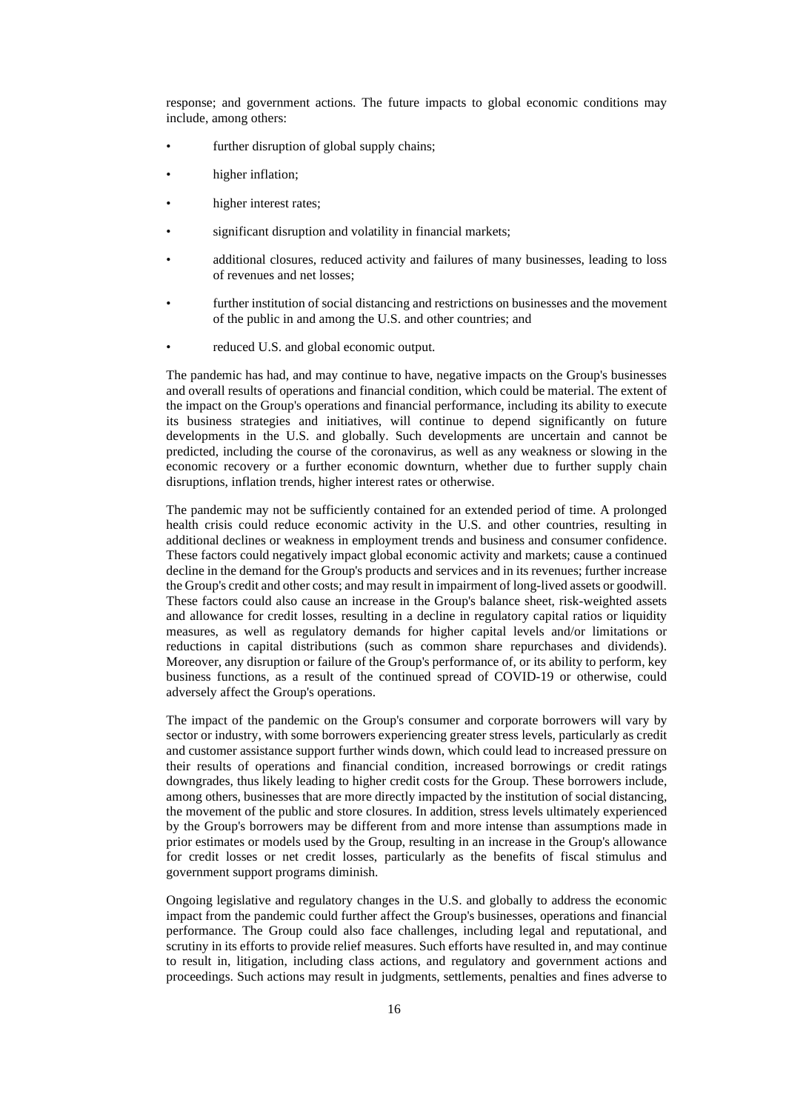response; and government actions. The future impacts to global economic conditions may include, among others:

- further disruption of global supply chains;
- higher inflation;
- higher interest rates;
- significant disruption and volatility in financial markets;
- additional closures, reduced activity and failures of many businesses, leading to loss of revenues and net losses;
- further institution of social distancing and restrictions on businesses and the movement of the public in and among the U.S. and other countries; and
- reduced U.S. and global economic output.

The pandemic has had, and may continue to have, negative impacts on the Group's businesses and overall results of operations and financial condition, which could be material. The extent of the impact on the Group's operations and financial performance, including its ability to execute its business strategies and initiatives, will continue to depend significantly on future developments in the U.S. and globally. Such developments are uncertain and cannot be predicted, including the course of the coronavirus, as well as any weakness or slowing in the economic recovery or a further economic downturn, whether due to further supply chain disruptions, inflation trends, higher interest rates or otherwise.

The pandemic may not be sufficiently contained for an extended period of time. A prolonged health crisis could reduce economic activity in the U.S. and other countries, resulting in additional declines or weakness in employment trends and business and consumer confidence. These factors could negatively impact global economic activity and markets; cause a continued decline in the demand for the Group's products and services and in its revenues; further increase the Group's credit and other costs; and may result in impairment of long-lived assets or goodwill. These factors could also cause an increase in the Group's balance sheet, risk-weighted assets and allowance for credit losses, resulting in a decline in regulatory capital ratios or liquidity measures, as well as regulatory demands for higher capital levels and/or limitations or reductions in capital distributions (such as common share repurchases and dividends). Moreover, any disruption or failure of the Group's performance of, or its ability to perform, key business functions, as a result of the continued spread of COVID-19 or otherwise, could adversely affect the Group's operations.

The impact of the pandemic on the Group's consumer and corporate borrowers will vary by sector or industry, with some borrowers experiencing greater stress levels, particularly as credit and customer assistance support further winds down, which could lead to increased pressure on their results of operations and financial condition, increased borrowings or credit ratings downgrades, thus likely leading to higher credit costs for the Group. These borrowers include, among others, businesses that are more directly impacted by the institution of social distancing, the movement of the public and store closures. In addition, stress levels ultimately experienced by the Group's borrowers may be different from and more intense than assumptions made in prior estimates or models used by the Group, resulting in an increase in the Group's allowance for credit losses or net credit losses, particularly as the benefits of fiscal stimulus and government support programs diminish.

Ongoing legislative and regulatory changes in the U.S. and globally to address the economic impact from the pandemic could further affect the Group's businesses, operations and financial performance. The Group could also face challenges, including legal and reputational, and scrutiny in its efforts to provide relief measures. Such efforts have resulted in, and may continue to result in, litigation, including class actions, and regulatory and government actions and proceedings. Such actions may result in judgments, settlements, penalties and fines adverse to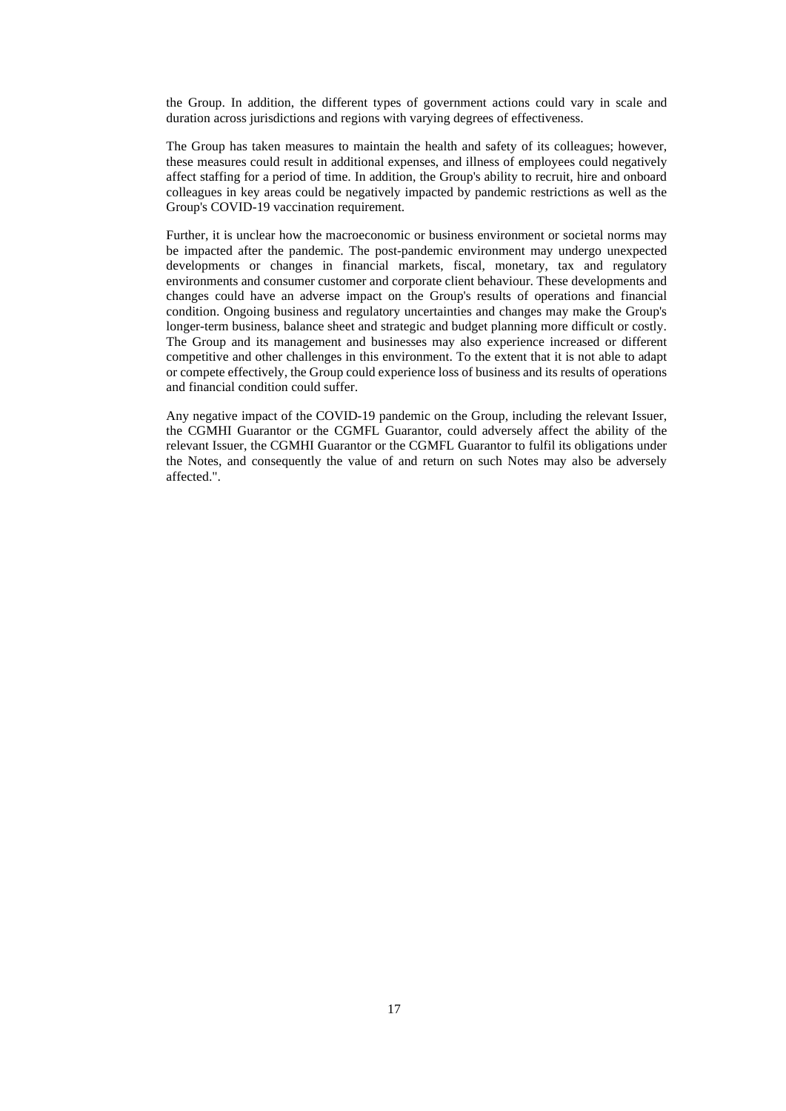the Group. In addition, the different types of government actions could vary in scale and duration across jurisdictions and regions with varying degrees of effectiveness.

The Group has taken measures to maintain the health and safety of its colleagues; however, these measures could result in additional expenses, and illness of employees could negatively affect staffing for a period of time. In addition, the Group's ability to recruit, hire and onboard colleagues in key areas could be negatively impacted by pandemic restrictions as well as the Group's COVID-19 vaccination requirement.

Further, it is unclear how the macroeconomic or business environment or societal norms may be impacted after the pandemic. The post-pandemic environment may undergo unexpected developments or changes in financial markets, fiscal, monetary, tax and regulatory environments and consumer customer and corporate client behaviour. These developments and changes could have an adverse impact on the Group's results of operations and financial condition. Ongoing business and regulatory uncertainties and changes may make the Group's longer-term business, balance sheet and strategic and budget planning more difficult or costly. The Group and its management and businesses may also experience increased or different competitive and other challenges in this environment. To the extent that it is not able to adapt or compete effectively, the Group could experience loss of business and its results of operations and financial condition could suffer.

Any negative impact of the COVID-19 pandemic on the Group, including the relevant Issuer, the CGMHI Guarantor or the CGMFL Guarantor, could adversely affect the ability of the relevant Issuer, the CGMHI Guarantor or the CGMFL Guarantor to fulfil its obligations under the Notes, and consequently the value of and return on such Notes may also be adversely affected.".